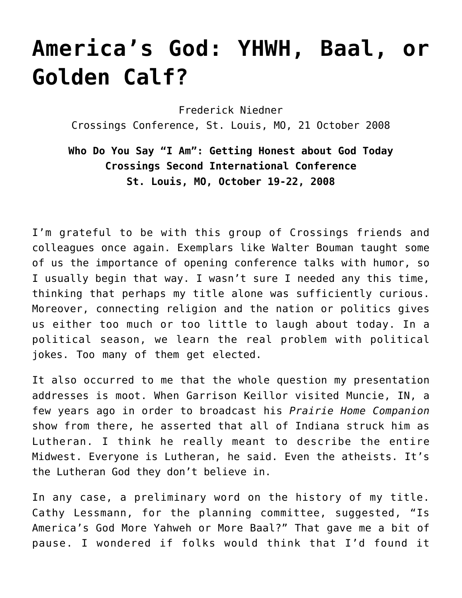## **[America's God: YHWH, Baal, or](https://crossings.org/americas-god/) [Golden Calf?](https://crossings.org/americas-god/)**

Frederick Niedner Crossings Conference, St. Louis, MO, 21 October 2008

**Who Do You Say "I Am": Getting Honest about God Today Crossings Second International Conference St. Louis, MO, October 19-22, 2008**

I'm grateful to be with this group of Crossings friends and colleagues once again. Exemplars like Walter Bouman taught some of us the importance of opening conference talks with humor, so I usually begin that way. I wasn't sure I needed any this time, thinking that perhaps my title alone was sufficiently curious. Moreover, connecting religion and the nation or politics gives us either too much or too little to laugh about today. In a political season, we learn the real problem with political jokes. Too many of them get elected.

It also occurred to me that the whole question my presentation addresses is moot. When Garrison Keillor visited Muncie, IN, a few years ago in order to broadcast his *Prairie Home Companion* show from there, he asserted that all of Indiana struck him as Lutheran. I think he really meant to describe the entire Midwest. Everyone is Lutheran, he said. Even the atheists. It's the Lutheran God they don't believe in.

In any case, a preliminary word on the history of my title. Cathy Lessmann, for the planning committee, suggested, "Is America's God More Yahweh or More Baal?" That gave me a bit of pause. I wondered if folks would think that I'd found it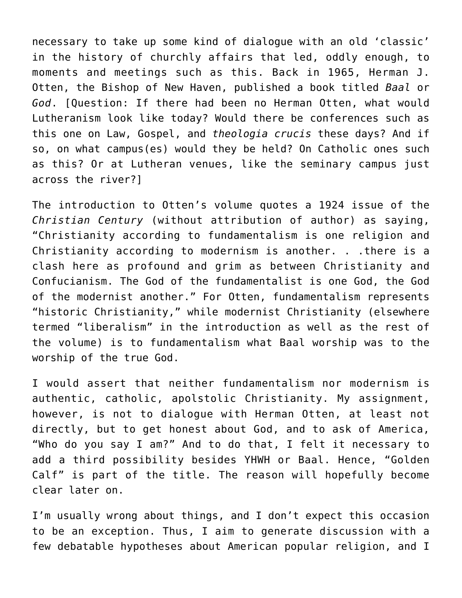necessary to take up some kind of dialogue with an old 'classic' in the history of churchly affairs that led, oddly enough, to moments and meetings such as this. Back in 1965, Herman J. Otten, the Bishop of New Haven, published a book titled *Baal* or *God*. [Question: If there had been no Herman Otten, what would Lutheranism look like today? Would there be conferences such as this one on Law, Gospel, and *theologia crucis* these days? And if so, on what campus(es) would they be held? On Catholic ones such as this? Or at Lutheran venues, like the seminary campus just across the river?]

The introduction to Otten's volume quotes a 1924 issue of the *Christian Century* (without attribution of author) as saying, "Christianity according to fundamentalism is one religion and Christianity according to modernism is another. . .there is a clash here as profound and grim as between Christianity and Confucianism. The God of the fundamentalist is one God, the God of the modernist another." For Otten, fundamentalism represents "historic Christianity," while modernist Christianity (elsewhere termed "liberalism" in the introduction as well as the rest of the volume) is to fundamentalism what Baal worship was to the worship of the true God.

I would assert that neither fundamentalism nor modernism is authentic, catholic, apolstolic Christianity. My assignment, however, is not to dialogue with Herman Otten, at least not directly, but to get honest about God, and to ask of America, "Who do you say I am?" And to do that, I felt it necessary to add a third possibility besides YHWH or Baal. Hence, "Golden Calf" is part of the title. The reason will hopefully become clear later on.

I'm usually wrong about things, and I don't expect this occasion to be an exception. Thus, I aim to generate discussion with a few debatable hypotheses about American popular religion, and I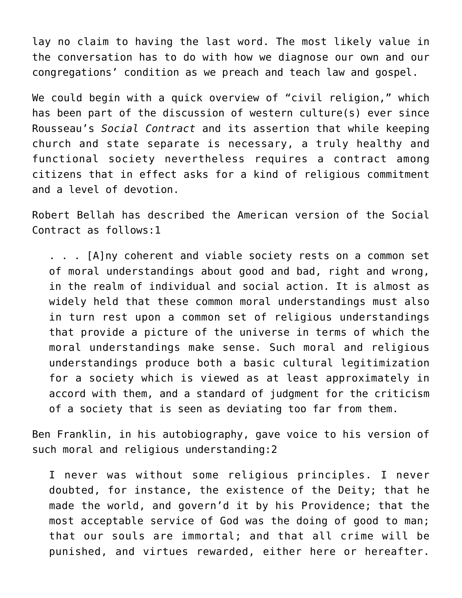lay no claim to having the last word. The most likely value in the conversation has to do with how we diagnose our own and our congregations' condition as we preach and teach law and gospel.

We could begin with a quick overview of "civil religion," which has been part of the discussion of western culture(s) ever since Rousseau's *Social Contract* and its assertion that while keeping church and state separate is necessary, a truly healthy and functional society nevertheless requires a contract among citizens that in effect asks for a kind of religious commitment and a level of devotion.

Robert Bellah has described the American version of the Social Contract as follows:1

. . . [A]ny coherent and viable society rests on a common set of moral understandings about good and bad, right and wrong, in the realm of individual and social action. It is almost as widely held that these common moral understandings must also in turn rest upon a common set of religious understandings that provide a picture of the universe in terms of which the moral understandings make sense. Such moral and religious understandings produce both a basic cultural legitimization for a society which is viewed as at least approximately in accord with them, and a standard of judgment for the criticism of a society that is seen as deviating too far from them.

Ben Franklin, in his autobiography, gave voice to his version of such moral and religious understanding:2

I never was without some religious principles. I never doubted, for instance, the existence of the Deity; that he made the world, and govern'd it by his Providence; that the most acceptable service of God was the doing of good to man; that our souls are immortal; and that all crime will be punished, and virtues rewarded, either here or hereafter.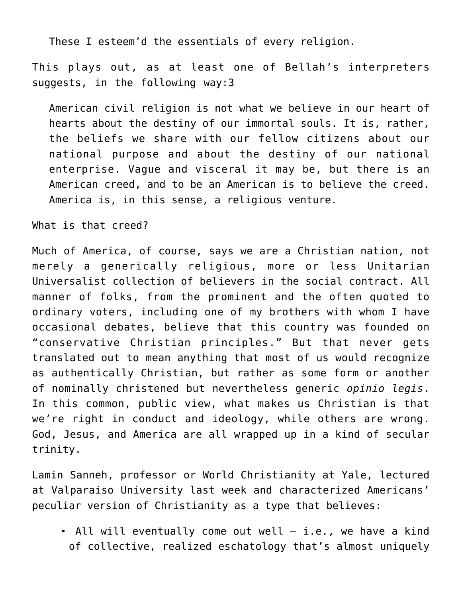These I esteem'd the essentials of every religion.

This plays out, as at least one of Bellah's interpreters suggests, in the following way:3

American civil religion is not what we believe in our heart of hearts about the destiny of our immortal souls. It is, rather, the beliefs we share with our fellow citizens about our national purpose and about the destiny of our national enterprise. Vague and visceral it may be, but there is an American creed, and to be an American is to believe the creed. America is, in this sense, a religious venture.

What is that creed?

Much of America, of course, says we are a Christian nation, not merely a generically religious, more or less Unitarian Universalist collection of believers in the social contract. All manner of folks, from the prominent and the often quoted to ordinary voters, including one of my brothers with whom I have occasional debates, believe that this country was founded on "conservative Christian principles." But that never gets translated out to mean anything that most of us would recognize as authentically Christian, but rather as some form or another of nominally christened but nevertheless generic *opinio legis*. In this common, public view, what makes us Christian is that we're right in conduct and ideology, while others are wrong. God, Jesus, and America are all wrapped up in a kind of secular trinity.

Lamin Sanneh, professor or World Christianity at Yale, lectured at Valparaiso University last week and characterized Americans' peculiar version of Christianity as a type that believes:

 All will eventually come out well – i.e., we have a kind of collective, realized eschatology that's almost uniquely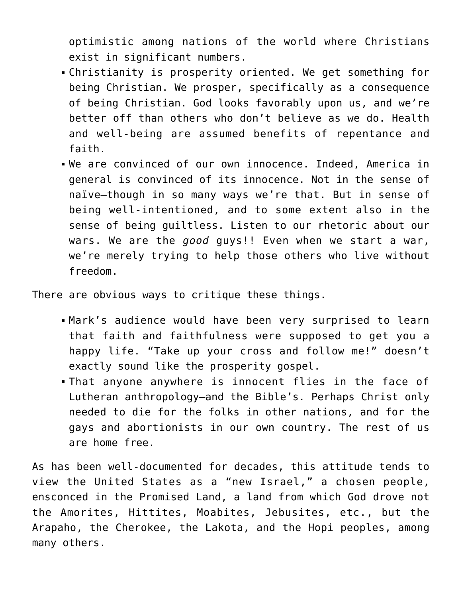optimistic among nations of the world where Christians exist in significant numbers.

- Christianity is prosperity oriented. We get something for being Christian. We prosper, specifically as a consequence of being Christian. God looks favorably upon us, and we're better off than others who don't believe as we do. Health and well-being are assumed benefits of repentance and faith.
- We are convinced of our own innocence. Indeed, America in general is convinced of its innocence. Not in the sense of naïve—though in so many ways we're that. But in sense of being well-intentioned, and to some extent also in the sense of being guiltless. Listen to our rhetoric about our wars. We are the *good* guys!! Even when we start a war, we're merely trying to help those others who live without freedom.

There are obvious ways to critique these things.

- Mark's audience would have been very surprised to learn that faith and faithfulness were supposed to get you a happy life. "Take up your cross and follow me!" doesn't exactly sound like the prosperity gospel.
- That anyone anywhere is innocent flies in the face of Lutheran anthropology—and the Bible's. Perhaps Christ only needed to die for the folks in other nations, and for the gays and abortionists in our own country. The rest of us are home free.

As has been well-documented for decades, this attitude tends to view the United States as a "new Israel," a chosen people, ensconced in the Promised Land, a land from which God drove not the Amorites, Hittites, Moabites, Jebusites, etc., but the Arapaho, the Cherokee, the Lakota, and the Hopi peoples, among many others.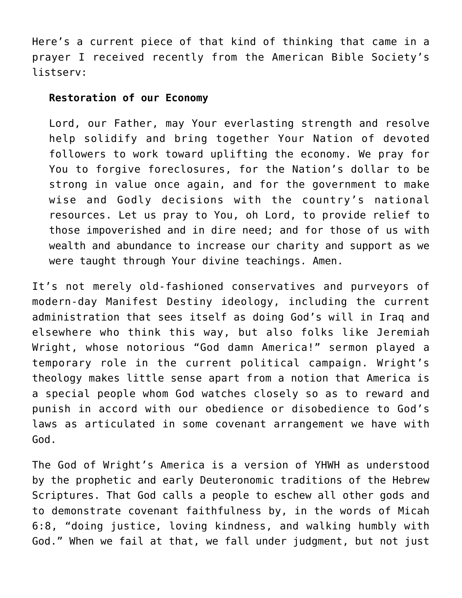Here's a current piece of that kind of thinking that came in a prayer I received recently from the American Bible Society's listserv:

## **Restoration of our Economy**

Lord, our Father, may Your everlasting strength and resolve help solidify and bring together Your Nation of devoted followers to work toward uplifting the economy. We pray for You to forgive foreclosures, for the Nation's dollar to be strong in value once again, and for the government to make wise and Godly decisions with the country's national resources. Let us pray to You, oh Lord, to provide relief to those impoverished and in dire need; and for those of us with wealth and abundance to increase our charity and support as we were taught through Your divine teachings. Amen.

It's not merely old-fashioned conservatives and purveyors of modern-day Manifest Destiny ideology, including the current administration that sees itself as doing God's will in Iraq and elsewhere who think this way, but also folks like Jeremiah Wright, whose notorious "God damn America!" sermon played a temporary role in the current political campaign. Wright's theology makes little sense apart from a notion that America is a special people whom God watches closely so as to reward and punish in accord with our obedience or disobedience to God's laws as articulated in some covenant arrangement we have with God.

The God of Wright's America is a version of YHWH as understood by the prophetic and early Deuteronomic traditions of the Hebrew Scriptures. That God calls a people to eschew all other gods and to demonstrate covenant faithfulness by, in the words of Micah 6:8, "doing justice, loving kindness, and walking humbly with God." When we fail at that, we fall under judgment, but not just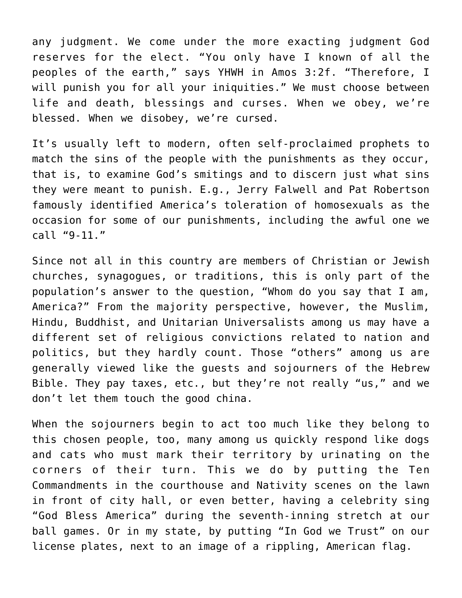any judgment. We come under the more exacting judgment God reserves for the elect. "You only have I known of all the peoples of the earth," says YHWH in Amos 3:2f. "Therefore, I will punish you for all your iniquities." We must choose between life and death, blessings and curses. When we obey, we're blessed. When we disobey, we're cursed.

It's usually left to modern, often self-proclaimed prophets to match the sins of the people with the punishments as they occur, that is, to examine God's smitings and to discern just what sins they were meant to punish. E.g., Jerry Falwell and Pat Robertson famously identified America's toleration of homosexuals as the occasion for some of our punishments, including the awful one we call "9-11."

Since not all in this country are members of Christian or Jewish churches, synagogues, or traditions, this is only part of the population's answer to the question, "Whom do you say that I am, America?" From the majority perspective, however, the Muslim, Hindu, Buddhist, and Unitarian Universalists among us may have a different set of religious convictions related to nation and politics, but they hardly count. Those "others" among us are generally viewed like the guests and sojourners of the Hebrew Bible. They pay taxes, etc., but they're not really "us," and we don't let them touch the good china.

When the sojourners begin to act too much like they belong to this chosen people, too, many among us quickly respond like dogs and cats who must mark their territory by urinating on the corners of their turn. This we do by putting the Ten Commandments in the courthouse and Nativity scenes on the lawn in front of city hall, or even better, having a celebrity sing "God Bless America" during the seventh-inning stretch at our ball games. Or in my state, by putting "In God we Trust" on our license plates, next to an image of a rippling, American flag.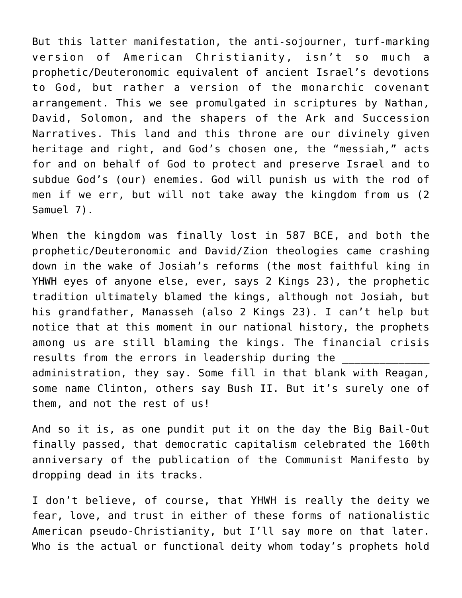But this latter manifestation, the anti-sojourner, turf-marking version of American Christianity, isn't so much a prophetic/Deuteronomic equivalent of ancient Israel's devotions to God, but rather a version of the monarchic covenant arrangement. This we see promulgated in scriptures by Nathan, David, Solomon, and the shapers of the Ark and Succession Narratives. This land and this throne are our divinely given heritage and right, and God's chosen one, the "messiah," acts for and on behalf of God to protect and preserve Israel and to subdue God's (our) enemies. God will punish us with the rod of men if we err, but will not take away the kingdom from us (2 Samuel 7).

When the kingdom was finally lost in 587 BCE, and both the prophetic/Deuteronomic and David/Zion theologies came crashing down in the wake of Josiah's reforms (the most faithful king in YHWH eyes of anyone else, ever, says 2 Kings 23), the prophetic tradition ultimately blamed the kings, although not Josiah, but his grandfather, Manasseh (also 2 Kings 23). I can't help but notice that at this moment in our national history, the prophets among us are still blaming the kings. The financial crisis results from the errors in leadership during the administration, they say. Some fill in that blank with Reagan, some name Clinton, others say Bush II. But it's surely one of them, and not the rest of us!

And so it is, as one pundit put it on the day the Big Bail-Out finally passed, that democratic capitalism celebrated the 160th anniversary of the publication of the Communist Manifesto by dropping dead in its tracks.

I don't believe, of course, that YHWH is really the deity we fear, love, and trust in either of these forms of nationalistic American pseudo-Christianity, but I'll say more on that later. Who is the actual or functional deity whom today's prophets hold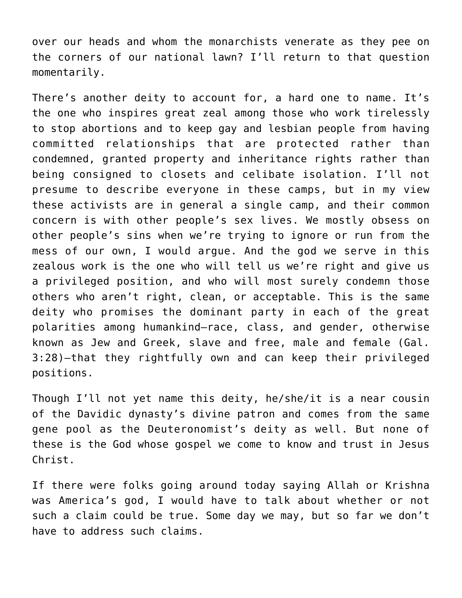over our heads and whom the monarchists venerate as they pee on the corners of our national lawn? I'll return to that question momentarily.

There's another deity to account for, a hard one to name. It's the one who inspires great zeal among those who work tirelessly to stop abortions and to keep gay and lesbian people from having committed relationships that are protected rather than condemned, granted property and inheritance rights rather than being consigned to closets and celibate isolation. I'll not presume to describe everyone in these camps, but in my view these activists are in general a single camp, and their common concern is with other people's sex lives. We mostly obsess on other people's sins when we're trying to ignore or run from the mess of our own, I would argue. And the god we serve in this zealous work is the one who will tell us we're right and give us a privileged position, and who will most surely condemn those others who aren't right, clean, or acceptable. This is the same deity who promises the dominant party in each of the great polarities among humankind—race, class, and gender, otherwise known as Jew and Greek, slave and free, male and female (Gal. 3:28)—that they rightfully own and can keep their privileged positions.

Though I'll not yet name this deity, he/she/it is a near cousin of the Davidic dynasty's divine patron and comes from the same gene pool as the Deuteronomist's deity as well. But none of these is the God whose gospel we come to know and trust in Jesus Christ.

If there were folks going around today saying Allah or Krishna was America's god, I would have to talk about whether or not such a claim could be true. Some day we may, but so far we don't have to address such claims.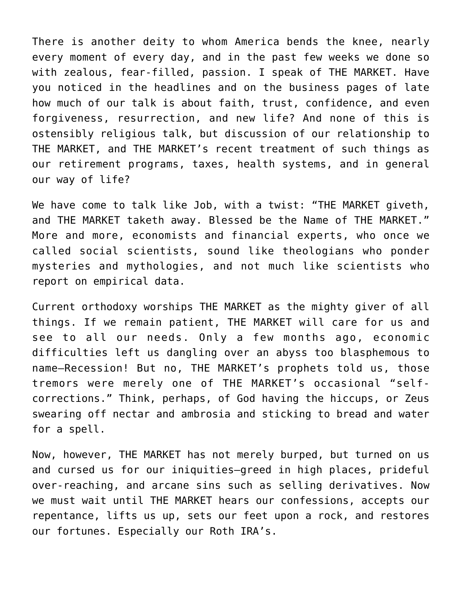There is another deity to whom America bends the knee, nearly every moment of every day, and in the past few weeks we done so with zealous, fear-filled, passion. I speak of THE MARKET. Have you noticed in the headlines and on the business pages of late how much of our talk is about faith, trust, confidence, and even forgiveness, resurrection, and new life? And none of this is ostensibly religious talk, but discussion of our relationship to THE MARKET, and THE MARKET's recent treatment of such things as our retirement programs, taxes, health systems, and in general our way of life?

We have come to talk like Job, with a twist: "THE MARKET giveth, and THE MARKET taketh away. Blessed be the Name of THE MARKET." More and more, economists and financial experts, who once we called social scientists, sound like theologians who ponder mysteries and mythologies, and not much like scientists who report on empirical data.

Current orthodoxy worships THE MARKET as the mighty giver of all things. If we remain patient, THE MARKET will care for us and see to all our needs. Only a few months ago, economic difficulties left us dangling over an abyss too blasphemous to name—Recession! But no, THE MARKET's prophets told us, those tremors were merely one of THE MARKET's occasional "selfcorrections." Think, perhaps, of God having the hiccups, or Zeus swearing off nectar and ambrosia and sticking to bread and water for a spell.

Now, however, THE MARKET has not merely burped, but turned on us and cursed us for our iniquities—greed in high places, prideful over-reaching, and arcane sins such as selling derivatives. Now we must wait until THE MARKET hears our confessions, accepts our repentance, lifts us up, sets our feet upon a rock, and restores our fortunes. Especially our Roth IRA's.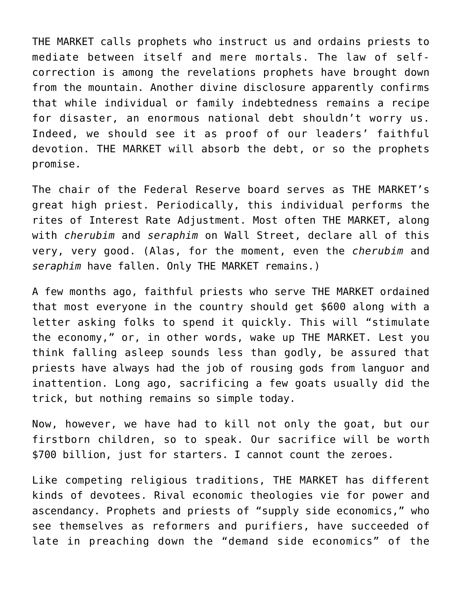THE MARKET calls prophets who instruct us and ordains priests to mediate between itself and mere mortals. The law of selfcorrection is among the revelations prophets have brought down from the mountain. Another divine disclosure apparently confirms that while individual or family indebtedness remains a recipe for disaster, an enormous national debt shouldn't worry us. Indeed, we should see it as proof of our leaders' faithful devotion. THE MARKET will absorb the debt, or so the prophets promise.

The chair of the Federal Reserve board serves as THE MARKET's great high priest. Periodically, this individual performs the rites of Interest Rate Adjustment. Most often THE MARKET, along with *cherubim* and *seraphim* on Wall Street, declare all of this very, very good. (Alas, for the moment, even the *cherubim* and *seraphim* have fallen. Only THE MARKET remains.)

A few months ago, faithful priests who serve THE MARKET ordained that most everyone in the country should get \$600 along with a letter asking folks to spend it quickly. This will "stimulate the economy," or, in other words, wake up THE MARKET. Lest you think falling asleep sounds less than godly, be assured that priests have always had the job of rousing gods from languor and inattention. Long ago, sacrificing a few goats usually did the trick, but nothing remains so simple today.

Now, however, we have had to kill not only the goat, but our firstborn children, so to speak. Our sacrifice will be worth \$700 billion, just for starters. I cannot count the zeroes.

Like competing religious traditions, THE MARKET has different kinds of devotees. Rival economic theologies vie for power and ascendancy. Prophets and priests of "supply side economics," who see themselves as reformers and purifiers, have succeeded of late in preaching down the "demand side economics" of the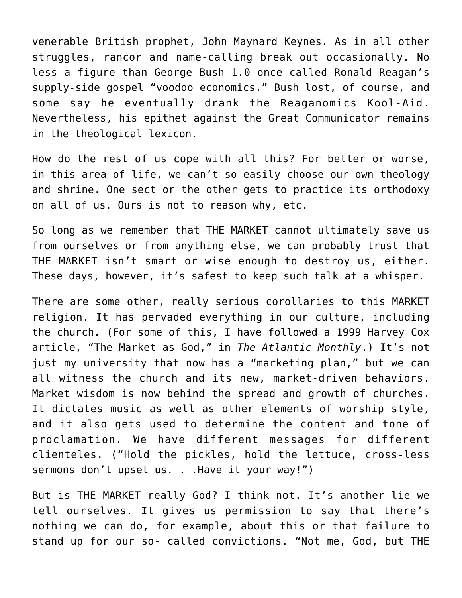venerable British prophet, John Maynard Keynes. As in all other struggles, rancor and name-calling break out occasionally. No less a figure than George Bush 1.0 once called Ronald Reagan's supply-side gospel "voodoo economics." Bush lost, of course, and some say he eventually drank the Reaganomics Kool-Aid. Nevertheless, his epithet against the Great Communicator remains in the theological lexicon.

How do the rest of us cope with all this? For better or worse, in this area of life, we can't so easily choose our own theology and shrine. One sect or the other gets to practice its orthodoxy on all of us. Ours is not to reason why, etc.

So long as we remember that THE MARKET cannot ultimately save us from ourselves or from anything else, we can probably trust that THE MARKET isn't smart or wise enough to destroy us, either. These days, however, it's safest to keep such talk at a whisper.

There are some other, really serious corollaries to this MARKET religion. It has pervaded everything in our culture, including the church. (For some of this, I have followed a 1999 Harvey Cox article, "The Market as God," in *The Atlantic Monthly*.) It's not just my university that now has a "marketing plan," but we can all witness the church and its new, market-driven behaviors. Market wisdom is now behind the spread and growth of churches. It dictates music as well as other elements of worship style, and it also gets used to determine the content and tone of proclamation. We have different messages for different clienteles. ("Hold the pickles, hold the lettuce, cross-less sermons don't upset us. . . Have it your way!")

But is THE MARKET really God? I think not. It's another lie we tell ourselves. It gives us permission to say that there's nothing we can do, for example, about this or that failure to stand up for our so- called convictions. "Not me, God, but THE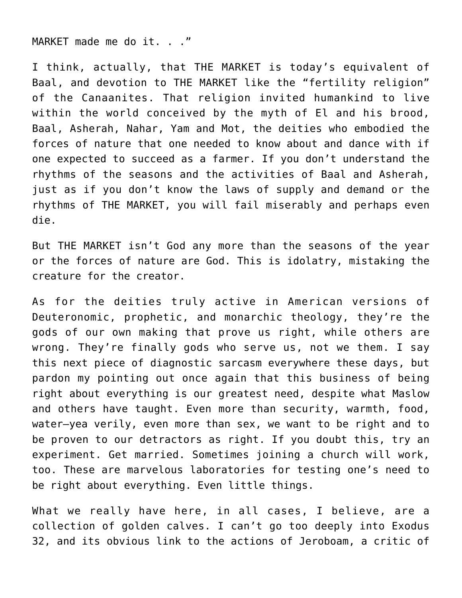MARKET made me do it. . ."

I think, actually, that THE MARKET is today's equivalent of Baal, and devotion to THE MARKET like the "fertility religion" of the Canaanites. That religion invited humankind to live within the world conceived by the myth of El and his brood, Baal, Asherah, Nahar, Yam and Mot, the deities who embodied the forces of nature that one needed to know about and dance with if one expected to succeed as a farmer. If you don't understand the rhythms of the seasons and the activities of Baal and Asherah, just as if you don't know the laws of supply and demand or the rhythms of THE MARKET, you will fail miserably and perhaps even die.

But THE MARKET isn't God any more than the seasons of the year or the forces of nature are God. This is idolatry, mistaking the creature for the creator.

As for the deities truly active in American versions of Deuteronomic, prophetic, and monarchic theology, they're the gods of our own making that prove us right, while others are wrong. They're finally gods who serve us, not we them. I say this next piece of diagnostic sarcasm everywhere these days, but pardon my pointing out once again that this business of being right about everything is our greatest need, despite what Maslow and others have taught. Even more than security, warmth, food, water—yea verily, even more than sex, we want to be right and to be proven to our detractors as right. If you doubt this, try an experiment. Get married. Sometimes joining a church will work, too. These are marvelous laboratories for testing one's need to be right about everything. Even little things.

What we really have here, in all cases, I believe, are a collection of golden calves. I can't go too deeply into Exodus 32, and its obvious link to the actions of Jeroboam, a critic of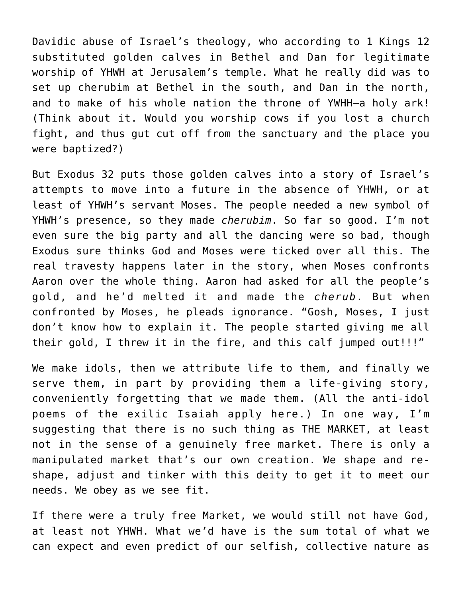Davidic abuse of Israel's theology, who according to 1 Kings 12 substituted golden calves in Bethel and Dan for legitimate worship of YHWH at Jerusalem's temple. What he really did was to set up cherubim at Bethel in the south, and Dan in the north, and to make of his whole nation the throne of YWHH—a holy ark! (Think about it. Would you worship cows if you lost a church fight, and thus gut cut off from the sanctuary and the place you were baptized?)

But Exodus 32 puts those golden calves into a story of Israel's attempts to move into a future in the absence of YHWH, or at least of YHWH's servant Moses. The people needed a new symbol of YHWH's presence, so they made *cherubim*. So far so good. I'm not even sure the big party and all the dancing were so bad, though Exodus sure thinks God and Moses were ticked over all this. The real travesty happens later in the story, when Moses confronts Aaron over the whole thing. Aaron had asked for all the people's gold, and he'd melted it and made the *cherub*. But when confronted by Moses, he pleads ignorance. "Gosh, Moses, I just don't know how to explain it. The people started giving me all their gold, I threw it in the fire, and this calf jumped out!!!"

We make idols, then we attribute life to them, and finally we serve them, in part by providing them a life-giving story, conveniently forgetting that we made them. (All the anti-idol poems of the exilic Isaiah apply here.) In one way, I'm suggesting that there is no such thing as THE MARKET, at least not in the sense of a genuinely free market. There is only a manipulated market that's our own creation. We shape and reshape, adjust and tinker with this deity to get it to meet our needs. We obey as we see fit.

If there were a truly free Market, we would still not have God, at least not YHWH. What we'd have is the sum total of what we can expect and even predict of our selfish, collective nature as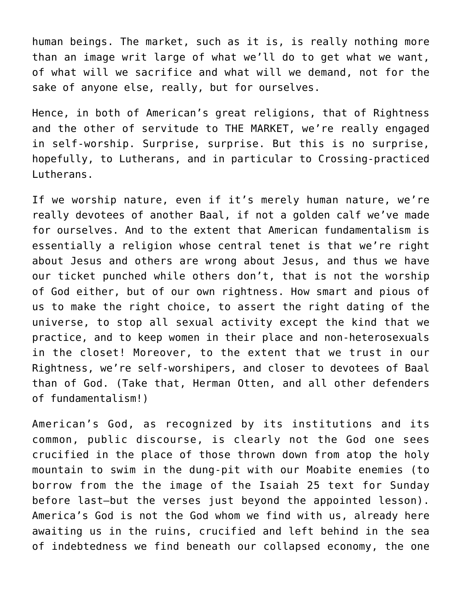human beings. The market, such as it is, is really nothing more than an image writ large of what we'll do to get what we want, of what will we sacrifice and what will we demand, not for the sake of anyone else, really, but for ourselves.

Hence, in both of American's great religions, that of Rightness and the other of servitude to THE MARKET, we're really engaged in self-worship. Surprise, surprise. But this is no surprise, hopefully, to Lutherans, and in particular to Crossing-practiced Lutherans.

If we worship nature, even if it's merely human nature, we're really devotees of another Baal, if not a golden calf we've made for ourselves. And to the extent that American fundamentalism is essentially a religion whose central tenet is that we're right about Jesus and others are wrong about Jesus, and thus we have our ticket punched while others don't, that is not the worship of God either, but of our own rightness. How smart and pious of us to make the right choice, to assert the right dating of the universe, to stop all sexual activity except the kind that we practice, and to keep women in their place and non-heterosexuals in the closet! Moreover, to the extent that we trust in our Rightness, we're self-worshipers, and closer to devotees of Baal than of God. (Take that, Herman Otten, and all other defenders of fundamentalism!)

American's God, as recognized by its institutions and its common, public discourse, is clearly not the God one sees crucified in the place of those thrown down from atop the holy mountain to swim in the dung-pit with our Moabite enemies (to borrow from the the image of the Isaiah 25 text for Sunday before last—but the verses just beyond the appointed lesson). America's God is not the God whom we find with us, already here awaiting us in the ruins, crucified and left behind in the sea of indebtedness we find beneath our collapsed economy, the one